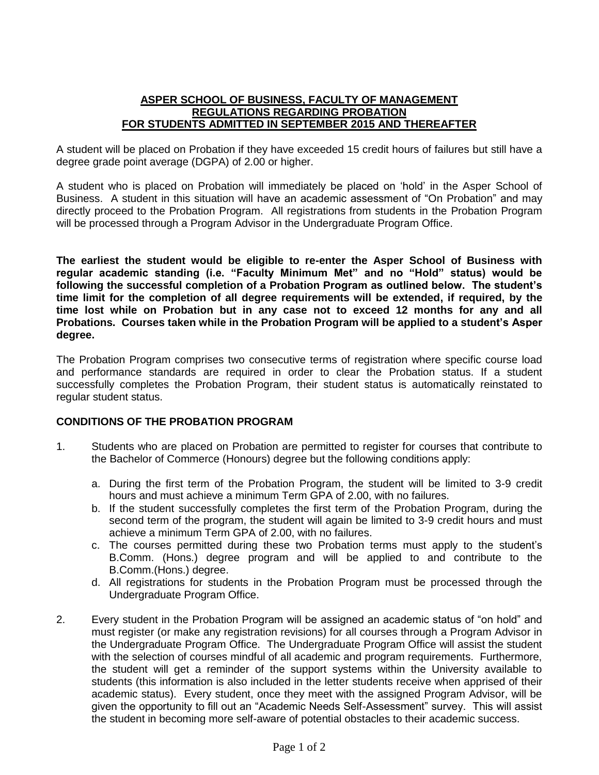## **ASPER SCHOOL OF BUSINESS, FACULTY OF MANAGEMENT REGULATIONS REGARDING PROBATION FOR STUDENTS ADMITTED IN SEPTEMBER 2015 AND THEREAFTER**

A student will be placed on Probation if they have exceeded 15 credit hours of failures but still have a degree grade point average (DGPA) of 2.00 or higher.

A student who is placed on Probation will immediately be placed on 'hold' in the Asper School of Business. A student in this situation will have an academic assessment of "On Probation" and may directly proceed to the Probation Program. All registrations from students in the Probation Program will be processed through a Program Advisor in the Undergraduate Program Office.

**The earliest the student would be eligible to re-enter the Asper School of Business with regular academic standing (i.e. "Faculty Minimum Met" and no "Hold" status) would be following the successful completion of a Probation Program as outlined below. The student's time limit for the completion of all degree requirements will be extended, if required, by the time lost while on Probation but in any case not to exceed 12 months for any and all Probations. Courses taken while in the Probation Program will be applied to a student's Asper degree.**

The Probation Program comprises two consecutive terms of registration where specific course load and performance standards are required in order to clear the Probation status. If a student successfully completes the Probation Program, their student status is automatically reinstated to regular student status.

## **CONDITIONS OF THE PROBATION PROGRAM**

- 1. Students who are placed on Probation are permitted to register for courses that contribute to the Bachelor of Commerce (Honours) degree but the following conditions apply:
	- a. During the first term of the Probation Program, the student will be limited to 3-9 credit hours and must achieve a minimum Term GPA of 2.00, with no failures.
	- b. If the student successfully completes the first term of the Probation Program, during the second term of the program, the student will again be limited to 3-9 credit hours and must achieve a minimum Term GPA of 2.00, with no failures.
	- c. The courses permitted during these two Probation terms must apply to the student's B.Comm. (Hons.) degree program and will be applied to and contribute to the B.Comm.(Hons.) degree.
	- d. All registrations for students in the Probation Program must be processed through the Undergraduate Program Office.
- 2. Every student in the Probation Program will be assigned an academic status of "on hold" and must register (or make any registration revisions) for all courses through a Program Advisor in the Undergraduate Program Office. The Undergraduate Program Office will assist the student with the selection of courses mindful of all academic and program requirements. Furthermore, the student will get a reminder of the support systems within the University available to students (this information is also included in the letter students receive when apprised of their academic status). Every student, once they meet with the assigned Program Advisor, will be given the opportunity to fill out an "Academic Needs Self-Assessment" survey. This will assist the student in becoming more self-aware of potential obstacles to their academic success.